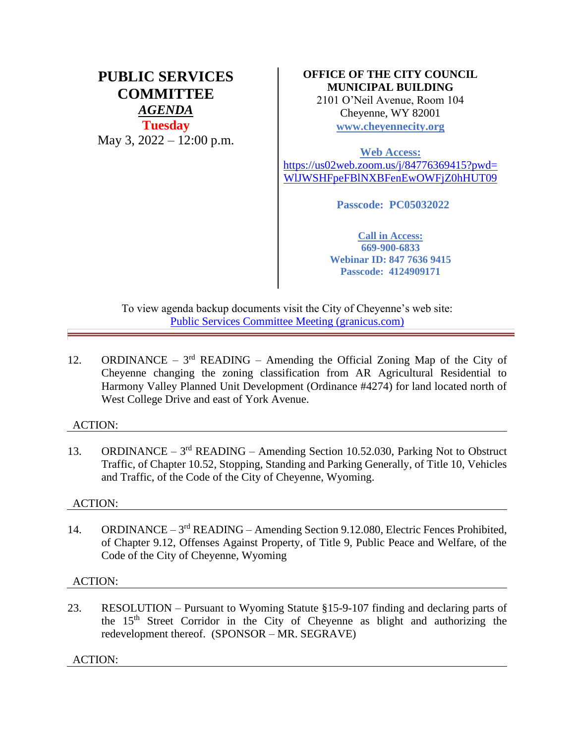# **PUBLIC SERVICES COMMITTEE** *AGENDA* **Tuesday** May 3, 2022 – 12:00 p.m.

## **OFFICE OF THE CITY COUNCIL MUNICIPAL BUILDING**

2101 O'Neil Avenue, Room 104 Cheyenne, WY 82001 **[www.cheyennecity.org](http://www.cheyennecity.org/)**

**Web Access:**  [https://us02web.zoom.us/j/84776369415?pwd=](https://us02web.zoom.us/j/84776369415?pwd=WlJWSHFpeFBlNXBFenEwOWFjZ0hHUT09) [WlJWSHFpeFBlNXBFenEwOWFjZ0hHUT09](https://us02web.zoom.us/j/84776369415?pwd=WlJWSHFpeFBlNXBFenEwOWFjZ0hHUT09)

**Passcode: PC05032022**

**Call in Access: 669-900-6833 Webinar ID: 847 7636 9415 Passcode: 4124909171**

To view agenda backup documents visit the City of Cheyenne's web site: [Public Services Committee Meeting \(granicus.com\)](https://cheyenne.granicus.com/GeneratedAgendaViewer.php?event_id=1069)

12. ORDINANCE –  $3<sup>rd</sup>$  READING – Amending the Official Zoning Map of the City of Cheyenne changing the zoning classification from AR Agricultural Residential to Harmony Valley Planned Unit Development (Ordinance #4274) for land located north of West College Drive and east of York Avenue.

### ACTION:

13. ORDINANCE – 3<sup>rd</sup> READING – Amending Section 10.52.030, Parking Not to Obstruct Traffic, of Chapter 10.52, Stopping, Standing and Parking Generally, of Title 10, Vehicles and Traffic, of the Code of the City of Cheyenne, Wyoming.

#### ACTION:

14. ORDINANCE – 3<sup>rd</sup> READING – Amending Section 9.12.080, Electric Fences Prohibited, of Chapter 9.12, Offenses Against Property, of Title 9, Public Peace and Welfare, of the Code of the City of Cheyenne, Wyoming

#### ACTION:

23. RESOLUTION – Pursuant to Wyoming Statute §15-9-107 finding and declaring parts of the 15th Street Corridor in the City of Cheyenne as blight and authorizing the redevelopment thereof. (SPONSOR – MR. SEGRAVE)

ACTION: